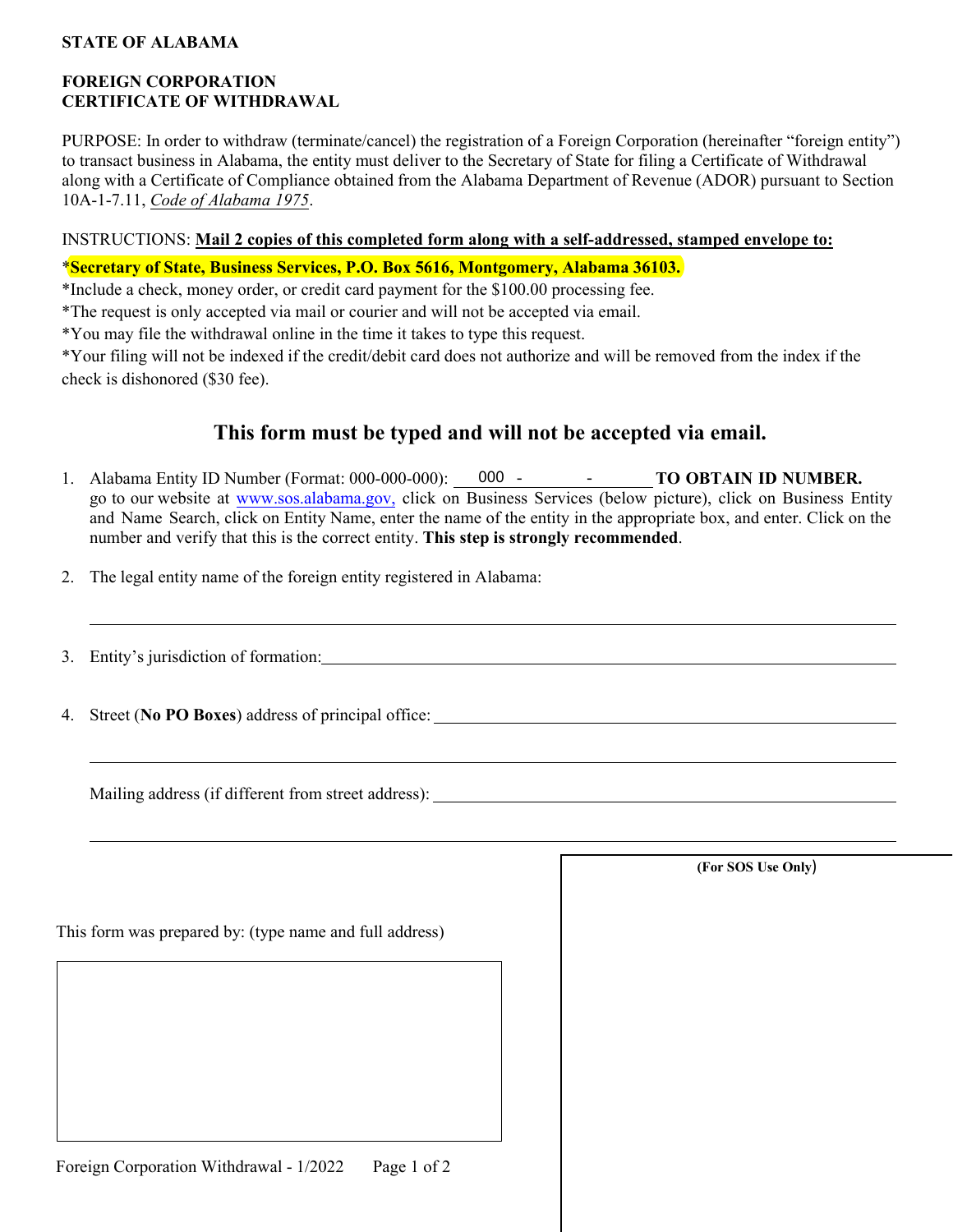# **STATE OF ALABAMA**

# **FOREIGN CORPORATION CERTIFICATE OF WITHDRAWAL**

PURPOSE: In order to withdraw (terminate/cancel) the registration of a Foreign Corporation (hereinafter "foreign entity") to transact business in Alabama, the entity must deliver to the Secretary of State for filing a Certificate of Withdrawal along with a Certificate of Compliance obtained from the Alabama Department of Revenue (ADOR) pursuant to Section 10A-1-7.11, *Code of Alabama 1975*.

### INSTRUCTIONS: **Mail 2 copies of this completed form along with a self-addressed, stamped envelope to:**

\***Secretary of State, Business Services, P.O. Box 5616, Montgomery, Alabama 36103.**

\*Include a check, money order, or credit card payment for the \$100.00 processing fee.

\*The request is only accepted via mail or courier and will not be accepted via email.

\*You may file the withdrawal online in the time it takes to type this request.

\*Your filing will not be indexed if the credit/debit card does not authorize and will be removed from the index if the check is dishonored (\$30 fee).

# **This form must be typed and will not be accepted via email.**

- 1. Alabama Entity ID Number (Format: 000-000-000): 000 TO OBTAIN ID NUMBER. go to our website at [www.sos.alabama.gov](http://www.sos.alabama.gov/), click on Business Services (below picture), click on Business Entity and Name Search, click on Entity Name, enter the name of the entity in the appropriate box, and enter. Click on the number and verify that this is the correct entity. **This step is strongly recommended**.
- 2. The legal entity name of the foreign entity registered in Alabama:
- 3. Entity's jurisdiction of formation:
- 4. Street (**No PO Boxes**) address of principal office:

Mailing address (if different from street address):

This form was prepared by: (type name and full address)

**(For SOS Use Only**)

Foreign Corporation Withdrawal - 1/2022 Page 1 of 2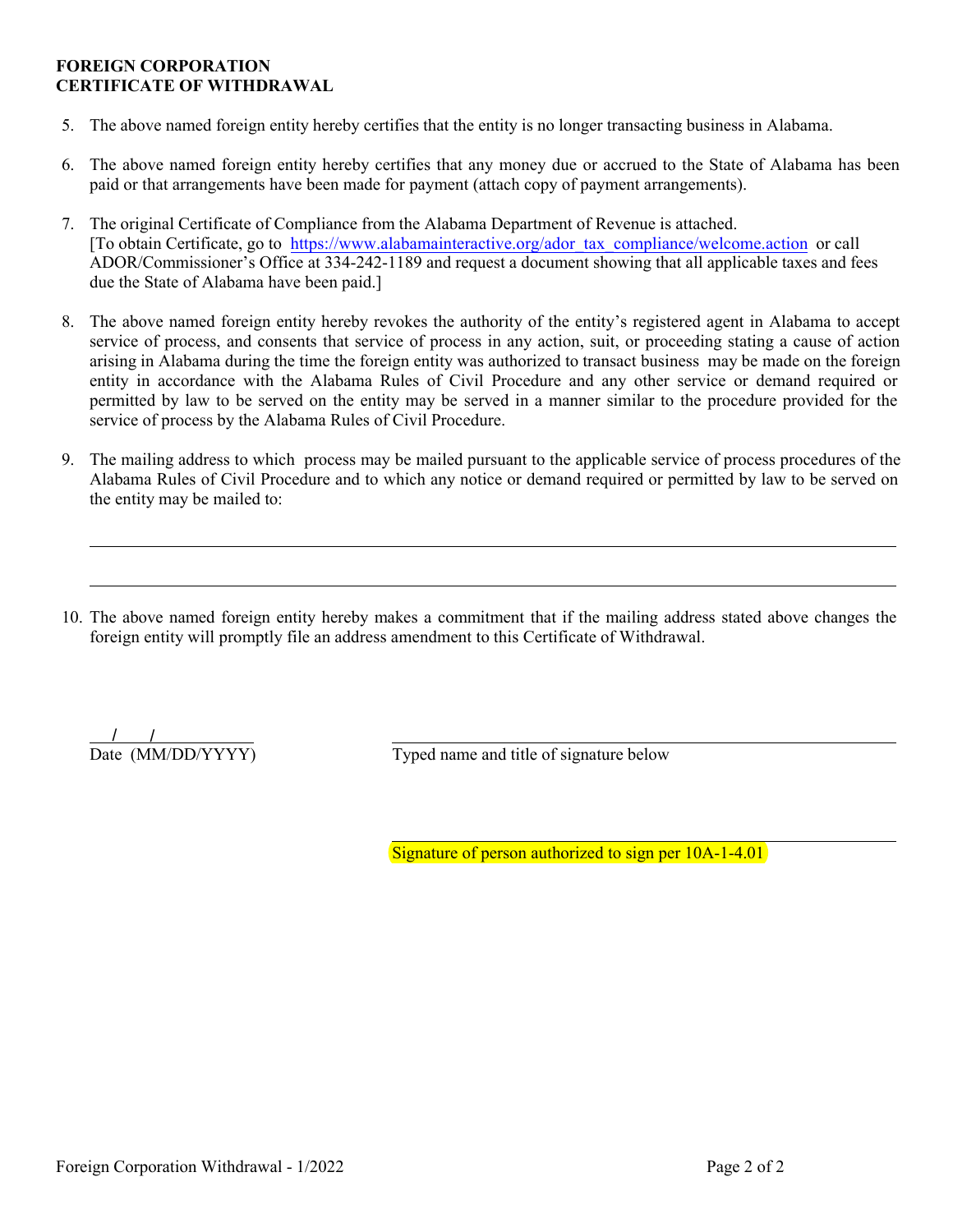#### **FOREIGN CORPORATION CERTIFICATE OF WITHDRAWAL**

- 5. The above named foreign entity hereby certifies that the entity is no longer transacting business in Alabama.
- 6. The above named foreign entity hereby certifies that any money due or accrued to the State of Alabama has been paid or that arrangements have been made for payment (attach copy of payment arrangements).
- 7. The original Certificate of Compliance from the Alabama Department of Revenue is attached. [To obtain Certificate, go to [https://www.alabamainteractive.org/ador\\_tax\\_compliance/welcome.action](https://www.alabamainteractive.org/ador_tax_compliance/welcome.action) or call ADOR/Commissioner's Office at 334-242-1189 and request a document showing that all applicable taxes and fees due the State of Alabama have been paid.]
- 8. The above named foreign entity hereby revokes the authority of the entity's registered agent in Alabama to accept service of process, and consents that service of process in any action, suit, or proceeding stating a cause of action arising in Alabama during the time the foreign entity was authorized to transact business may be made on the foreign entity in accordance with the Alabama Rules of Civil Procedure and any other service or demand required or permitted by law to be served on the entity may be served in a manner similar to the procedure provided for the service of process by the Alabama Rules of Civil Procedure.
- 9. The mailing address to which process may be mailed pursuant to the applicable service of process procedures of the Alabama Rules of Civil Procedure and to which any notice or demand required or permitted by law to be served on the entity may be mailed to:
- 10. The above named foreign entity hereby makes a commitment that if the mailing address stated above changes the foreign entity will promptly file an address amendment to this Certificate of Withdrawal.

 $\frac{1}{\text{Date (MM/DD/YYYY)}}$ 

Typed name and title of signature below

Signature of person authorized to sign per 10A-1-4.01